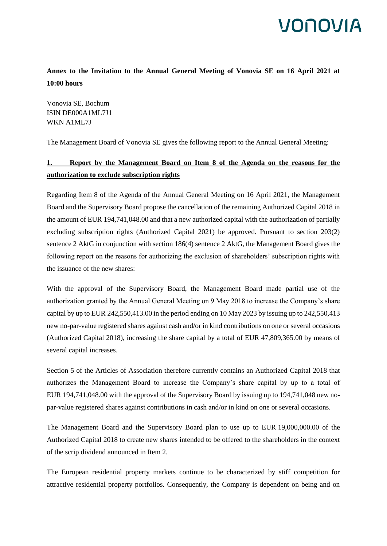**Annex to the Invitation to the Annual General Meeting of Vonovia SE on 16 April 2021 at 10:00 hours**

Vonovia SE, Bochum ISIN DE000A1ML7J1 WKN A1ML7J

The Management Board of Vonovia SE gives the following report to the Annual General Meeting:

#### **1. Report by the Management Board on Item 8 of the Agenda on the reasons for the authorization to exclude subscription rights**

Regarding Item 8 of the Agenda of the Annual General Meeting on 16 April 2021, the Management Board and the Supervisory Board propose the cancellation of the remaining Authorized Capital 2018 in the amount of EUR 194,741,048.00 and that a new authorized capital with the authorization of partially excluding subscription rights (Authorized Capital 2021) be approved. Pursuant to section 203(2) sentence 2 AktG in conjunction with section 186(4) sentence 2 AktG, the Management Board gives the following report on the reasons for authorizing the exclusion of shareholders' subscription rights with the issuance of the new shares:

With the approval of the Supervisory Board, the Management Board made partial use of the authorization granted by the Annual General Meeting on 9 May 2018 to increase the Company's share capital by up to EUR 242,550,413.00 in the period ending on 10 May 2023 by issuing up to 242,550,413 new no-par-value registered shares against cash and/or in kind contributions on one or several occasions (Authorized Capital 2018), increasing the share capital by a total of EUR 47,809,365.00 by means of several capital increases.

Section 5 of the Articles of Association therefore currently contains an Authorized Capital 2018 that authorizes the Management Board to increase the Company's share capital by up to a total of EUR 194,741,048.00 with the approval of the Supervisory Board by issuing up to 194,741,048 new nopar-value registered shares against contributions in cash and/or in kind on one or several occasions.

The Management Board and the Supervisory Board plan to use up to EUR 19,000,000.00 of the Authorized Capital 2018 to create new shares intended to be offered to the shareholders in the context of the scrip dividend announced in Item 2.

The European residential property markets continue to be characterized by stiff competition for attractive residential property portfolios. Consequently, the Company is dependent on being and on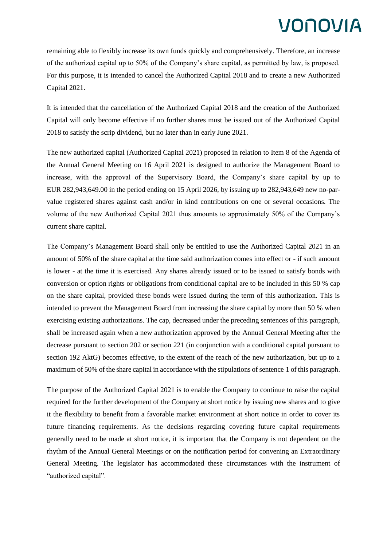remaining able to flexibly increase its own funds quickly and comprehensively. Therefore, an increase of the authorized capital up to 50% of the Company's share capital, as permitted by law, is proposed. For this purpose, it is intended to cancel the Authorized Capital 2018 and to create a new Authorized Capital 2021.

It is intended that the cancellation of the Authorized Capital 2018 and the creation of the Authorized Capital will only become effective if no further shares must be issued out of the Authorized Capital 2018 to satisfy the scrip dividend, but no later than in early June 2021.

The new authorized capital (Authorized Capital 2021) proposed in relation to Item 8 of the Agenda of the Annual General Meeting on 16 April 2021 is designed to authorize the Management Board to increase, with the approval of the Supervisory Board, the Company's share capital by up to EUR 282,943,649.00 in the period ending on 15 April 2026, by issuing up to 282,943,649 new no-parvalue registered shares against cash and/or in kind contributions on one or several occasions. The volume of the new Authorized Capital 2021 thus amounts to approximately 50% of the Company's current share capital.

The Company's Management Board shall only be entitled to use the Authorized Capital 2021 in an amount of 50% of the share capital at the time said authorization comes into effect or - if such amount is lower - at the time it is exercised. Any shares already issued or to be issued to satisfy bonds with conversion or option rights or obligations from conditional capital are to be included in this 50 % cap on the share capital, provided these bonds were issued during the term of this authorization. This is intended to prevent the Management Board from increasing the share capital by more than 50 % when exercising existing authorizations. The cap, decreased under the preceding sentences of this paragraph, shall be increased again when a new authorization approved by the Annual General Meeting after the decrease pursuant to section 202 or section 221 (in conjunction with a conditional capital pursuant to section 192 AktG) becomes effective, to the extent of the reach of the new authorization, but up to a maximum of 50% of the share capital in accordance with the stipulations of sentence 1 of this paragraph.

The purpose of the Authorized Capital 2021 is to enable the Company to continue to raise the capital required for the further development of the Company at short notice by issuing new shares and to give it the flexibility to benefit from a favorable market environment at short notice in order to cover its future financing requirements. As the decisions regarding covering future capital requirements generally need to be made at short notice, it is important that the Company is not dependent on the rhythm of the Annual General Meetings or on the notification period for convening an Extraordinary General Meeting. The legislator has accommodated these circumstances with the instrument of "authorized capital".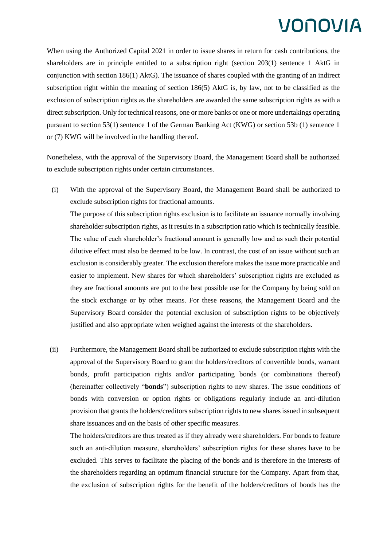When using the Authorized Capital 2021 in order to issue shares in return for cash contributions, the shareholders are in principle entitled to a subscription right (section 203(1) sentence 1 AktG in conjunction with section 186(1) AktG). The issuance of shares coupled with the granting of an indirect subscription right within the meaning of section 186(5) AktG is, by law, not to be classified as the exclusion of subscription rights as the shareholders are awarded the same subscription rights as with a direct subscription. Only for technical reasons, one or more banks or one or more undertakings operating pursuant to section 53(1) sentence 1 of the German Banking Act (KWG) or section 53b (1) sentence 1 or (7) KWG will be involved in the handling thereof.

Nonetheless, with the approval of the Supervisory Board, the Management Board shall be authorized to exclude subscription rights under certain circumstances.

(i) With the approval of the Supervisory Board, the Management Board shall be authorized to exclude subscription rights for fractional amounts.

The purpose of this subscription rights exclusion is to facilitate an issuance normally involving shareholder subscription rights, as it results in a subscription ratio which is technically feasible. The value of each shareholder's fractional amount is generally low and as such their potential dilutive effect must also be deemed to be low. In contrast, the cost of an issue without such an exclusion is considerably greater. The exclusion therefore makes the issue more practicable and easier to implement. New shares for which shareholders' subscription rights are excluded as they are fractional amounts are put to the best possible use for the Company by being sold on the stock exchange or by other means. For these reasons, the Management Board and the Supervisory Board consider the potential exclusion of subscription rights to be objectively justified and also appropriate when weighed against the interests of the shareholders.

(ii) Furthermore, the Management Board shall be authorized to exclude subscription rights with the approval of the Supervisory Board to grant the holders/creditors of convertible bonds, warrant bonds, profit participation rights and/or participating bonds (or combinations thereof) (hereinafter collectively "**bonds**") subscription rights to new shares. The issue conditions of bonds with conversion or option rights or obligations regularly include an anti-dilution provision that grants the holders/creditors subscription rights to new shares issued in subsequent share issuances and on the basis of other specific measures.

The holders/creditors are thus treated as if they already were shareholders. For bonds to feature such an anti-dilution measure, shareholders' subscription rights for these shares have to be excluded. This serves to facilitate the placing of the bonds and is therefore in the interests of the shareholders regarding an optimum financial structure for the Company. Apart from that, the exclusion of subscription rights for the benefit of the holders/creditors of bonds has the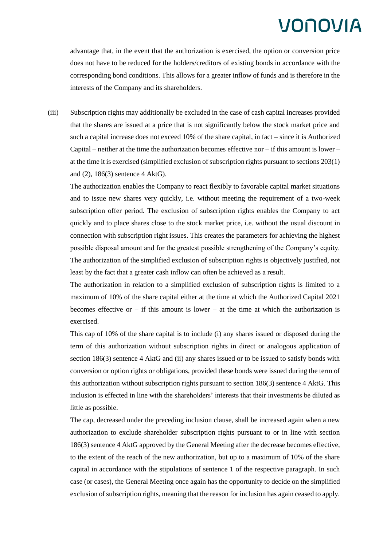advantage that, in the event that the authorization is exercised, the option or conversion price does not have to be reduced for the holders/creditors of existing bonds in accordance with the corresponding bond conditions. This allows for a greater inflow of funds and is therefore in the interests of the Company and its shareholders.

(iii) Subscription rights may additionally be excluded in the case of cash capital increases provided that the shares are issued at a price that is not significantly below the stock market price and such a capital increase does not exceed 10% of the share capital, in fact – since it is Authorized Capital – neither at the time the authorization becomes effective nor – if this amount is lower – at the time it is exercised (simplified exclusion of subscription rights pursuant to sections 203(1) and (2), 186(3) sentence 4 AktG).

The authorization enables the Company to react flexibly to favorable capital market situations and to issue new shares very quickly, i.e. without meeting the requirement of a two-week subscription offer period. The exclusion of subscription rights enables the Company to act quickly and to place shares close to the stock market price, i.e. without the usual discount in connection with subscription right issues. This creates the parameters for achieving the highest possible disposal amount and for the greatest possible strengthening of the Company's equity. The authorization of the simplified exclusion of subscription rights is objectively justified, not least by the fact that a greater cash inflow can often be achieved as a result.

The authorization in relation to a simplified exclusion of subscription rights is limited to a maximum of 10% of the share capital either at the time at which the Authorized Capital 2021 becomes effective or  $-$  if this amount is lower  $-$  at the time at which the authorization is exercised.

This cap of 10% of the share capital is to include (i) any shares issued or disposed during the term of this authorization without subscription rights in direct or analogous application of section 186(3) sentence 4 AktG and (ii) any shares issued or to be issued to satisfy bonds with conversion or option rights or obligations, provided these bonds were issued during the term of this authorization without subscription rights pursuant to section 186(3) sentence 4 AktG. This inclusion is effected in line with the shareholders' interests that their investments be diluted as little as possible.

The cap, decreased under the preceding inclusion clause, shall be increased again when a new authorization to exclude shareholder subscription rights pursuant to or in line with section 186(3) sentence 4 AktG approved by the General Meeting after the decrease becomes effective, to the extent of the reach of the new authorization, but up to a maximum of 10% of the share capital in accordance with the stipulations of sentence 1 of the respective paragraph. In such case (or cases), the General Meeting once again has the opportunity to decide on the simplified exclusion of subscription rights, meaning that the reason for inclusion has again ceased to apply.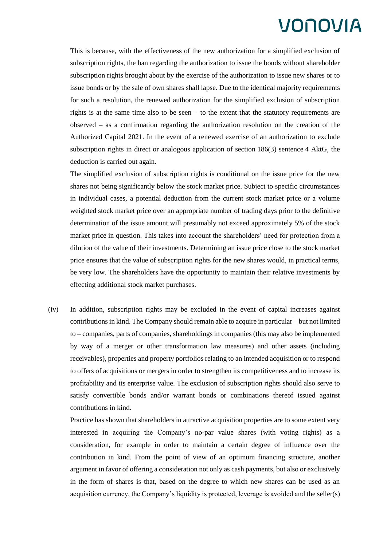This is because, with the effectiveness of the new authorization for a simplified exclusion of subscription rights, the ban regarding the authorization to issue the bonds without shareholder subscription rights brought about by the exercise of the authorization to issue new shares or to issue bonds or by the sale of own shares shall lapse. Due to the identical majority requirements for such a resolution, the renewed authorization for the simplified exclusion of subscription rights is at the same time also to be seen  $-$  to the extent that the statutory requirements are observed – as a confirmation regarding the authorization resolution on the creation of the Authorized Capital 2021. In the event of a renewed exercise of an authorization to exclude subscription rights in direct or analogous application of section 186(3) sentence 4 AktG, the deduction is carried out again.

The simplified exclusion of subscription rights is conditional on the issue price for the new shares not being significantly below the stock market price. Subject to specific circumstances in individual cases, a potential deduction from the current stock market price or a volume weighted stock market price over an appropriate number of trading days prior to the definitive determination of the issue amount will presumably not exceed approximately 5% of the stock market price in question. This takes into account the shareholders' need for protection from a dilution of the value of their investments. Determining an issue price close to the stock market price ensures that the value of subscription rights for the new shares would, in practical terms, be very low. The shareholders have the opportunity to maintain their relative investments by effecting additional stock market purchases.

(iv) In addition, subscription rights may be excluded in the event of capital increases against contributions in kind. The Company should remain able to acquire in particular – but not limited to – companies, parts of companies, shareholdings in companies (this may also be implemented by way of a merger or other transformation law measures) and other assets (including receivables), properties and property portfolios relating to an intended acquisition or to respond to offers of acquisitions or mergers in order to strengthen its competitiveness and to increase its profitability and its enterprise value. The exclusion of subscription rights should also serve to satisfy convertible bonds and/or warrant bonds or combinations thereof issued against contributions in kind.

Practice has shown that shareholders in attractive acquisition properties are to some extent very interested in acquiring the Company's no-par value shares (with voting rights) as a consideration, for example in order to maintain a certain degree of influence over the contribution in kind. From the point of view of an optimum financing structure, another argument in favor of offering a consideration not only as cash payments, but also or exclusively in the form of shares is that, based on the degree to which new shares can be used as an acquisition currency, the Company's liquidity is protected, leverage is avoided and the seller(s)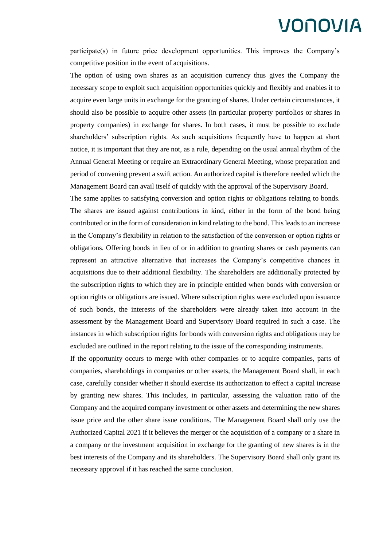participate(s) in future price development opportunities. This improves the Company's competitive position in the event of acquisitions.

The option of using own shares as an acquisition currency thus gives the Company the necessary scope to exploit such acquisition opportunities quickly and flexibly and enables it to acquire even large units in exchange for the granting of shares. Under certain circumstances, it should also be possible to acquire other assets (in particular property portfolios or shares in property companies) in exchange for shares. In both cases, it must be possible to exclude shareholders' subscription rights. As such acquisitions frequently have to happen at short notice, it is important that they are not, as a rule, depending on the usual annual rhythm of the Annual General Meeting or require an Extraordinary General Meeting, whose preparation and period of convening prevent a swift action. An authorized capital is therefore needed which the Management Board can avail itself of quickly with the approval of the Supervisory Board.

The same applies to satisfying conversion and option rights or obligations relating to bonds. The shares are issued against contributions in kind, either in the form of the bond being contributed or in the form of consideration in kind relating to the bond. This leads to an increase in the Company's flexibility in relation to the satisfaction of the conversion or option rights or obligations. Offering bonds in lieu of or in addition to granting shares or cash payments can represent an attractive alternative that increases the Company's competitive chances in acquisitions due to their additional flexibility. The shareholders are additionally protected by the subscription rights to which they are in principle entitled when bonds with conversion or option rights or obligations are issued. Where subscription rights were excluded upon issuance of such bonds, the interests of the shareholders were already taken into account in the assessment by the Management Board and Supervisory Board required in such a case. The instances in which subscription rights for bonds with conversion rights and obligations may be excluded are outlined in the report relating to the issue of the corresponding instruments.

If the opportunity occurs to merge with other companies or to acquire companies, parts of companies, shareholdings in companies or other assets, the Management Board shall, in each case, carefully consider whether it should exercise its authorization to effect a capital increase by granting new shares. This includes, in particular, assessing the valuation ratio of the Company and the acquired company investment or other assets and determining the new shares issue price and the other share issue conditions. The Management Board shall only use the Authorized Capital 2021 if it believes the merger or the acquisition of a company or a share in a company or the investment acquisition in exchange for the granting of new shares is in the best interests of the Company and its shareholders. The Supervisory Board shall only grant its necessary approval if it has reached the same conclusion.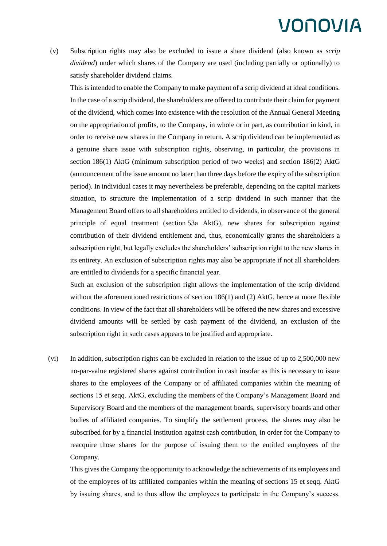(v) Subscription rights may also be excluded to issue a share dividend (also known as *scrip dividend*) under which shares of the Company are used (including partially or optionally) to satisfy shareholder dividend claims.

This is intended to enable the Company to make payment of a scrip dividend at ideal conditions. In the case of a scrip dividend, the shareholders are offered to contribute their claim for payment of the dividend, which comes into existence with the resolution of the Annual General Meeting on the appropriation of profits, to the Company, in whole or in part, as contribution in kind, in order to receive new shares in the Company in return. A scrip dividend can be implemented as a genuine share issue with subscription rights, observing, in particular, the provisions in section 186(1) AktG (minimum subscription period of two weeks) and section 186(2) AktG (announcement of the issue amount no later than three days before the expiry of the subscription period). In individual cases it may nevertheless be preferable, depending on the capital markets situation, to structure the implementation of a scrip dividend in such manner that the Management Board offers to all shareholders entitled to dividends, in observance of the general principle of equal treatment (section 53a AktG), new shares for subscription against contribution of their dividend entitlement and, thus, economically grants the shareholders a subscription right, but legally excludes the shareholders' subscription right to the new shares in its entirety. An exclusion of subscription rights may also be appropriate if not all shareholders are entitled to dividends for a specific financial year.

Such an exclusion of the subscription right allows the implementation of the scrip dividend without the aforementioned restrictions of section 186(1) and (2) AktG, hence at more flexible conditions. In view of the fact that all shareholders will be offered the new shares and excessive dividend amounts will be settled by cash payment of the dividend, an exclusion of the subscription right in such cases appears to be justified and appropriate.

(vi) In addition, subscription rights can be excluded in relation to the issue of up to 2,500,000 new no-par-value registered shares against contribution in cash insofar as this is necessary to issue shares to the employees of the Company or of affiliated companies within the meaning of sections 15 et seqq. AktG, excluding the members of the Company's Management Board and Supervisory Board and the members of the management boards, supervisory boards and other bodies of affiliated companies. To simplify the settlement process, the shares may also be subscribed for by a financial institution against cash contribution, in order for the Company to reacquire those shares for the purpose of issuing them to the entitled employees of the Company.

This gives the Company the opportunity to acknowledge the achievements of its employees and of the employees of its affiliated companies within the meaning of sections 15 et seqq. AktG by issuing shares, and to thus allow the employees to participate in the Company's success.